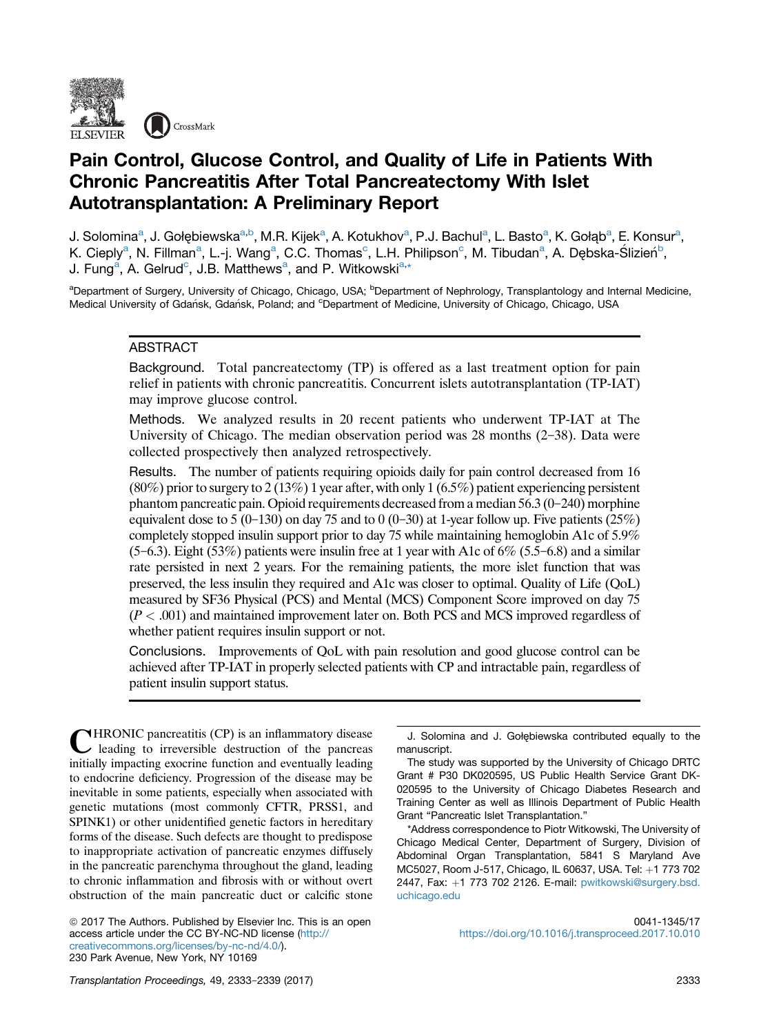

# Pain Control, Glucose Control, and Quality of Life in Patients With Chronic Pancreatitis After Total Pancreatectomy With Islet Autotransplantation: A Preliminary Report

J. Solomina<sup>a</sup>, J. Gołębiewska<sup>a,b</sup>, M.R. Kijek<sup>a</sup>, A. Kotukhov<sup>a</sup>, P.J. Bachul<sup>a</sup>, L. Basto<sup>a</sup>, K. Gołąb<sup>a</sup>, E. Konsur<sup>a</sup>, K. Cieply<sup>a</sup>, N. Fillman<sup>a</sup>, L.-j. Wang<sup>a</sup>, C.C. Thomas<sup>c</sup>, L.H. Philipson<sup>c</sup>, M. Tibudan<sup>a</sup>, A. Dębska-Ślizień<sup>b</sup>, J. Fung<sup>a</sup>, A. Gelrud<sup>c</sup>, J.B. Matthews<sup>a</sup>, and P. Witkowski<sup>a,\*</sup>

<sup>a</sup>Department of Surgery, University of Chicago, Chicago, USA; <sup>b</sup>Department of Nephrology, Transplantology and Internal Medicine, Medical University of Gdańsk, Gdańsk, Poland; and <sup>c</sup>Department of Medicine, University of Chicago, Chicago, USA

## ABSTRACT

Background. Total pancreatectomy (TP) is offered as a last treatment option for pain relief in patients with chronic pancreatitis. Concurrent islets autotransplantation (TP-IAT) may improve glucose control.

Methods. We analyzed results in 20 recent patients who underwent TP-IAT at The University of Chicago. The median observation period was  $28$  months  $(2-38)$ . Data were collected prospectively then analyzed retrospectively.

Results. The number of patients requiring opioids daily for pain control decreased from 16 (80%) prior to surgery to 2 (13%) 1 year after, with only 1 (6.5%) patient experiencing persistent phantom pancreatic pain. Opioid requirements decreased from a median  $56.3 \times (0-240)$  morphine equivalent dose to 5 (0-130) on day 75 and to 0 (0-30) at 1-year follow up. Five patients (25%) completely stopped insulin support prior to day 75 while maintaining hemoglobin A1c of 5.9%  $(5-6.3)$ . Eight (53%) patients were insulin free at 1 year with A1c of 6% (5.5–6.8) and a similar rate persisted in next 2 years. For the remaining patients, the more islet function that was preserved, the less insulin they required and A1c was closer to optimal. Quality of Life (QoL) measured by SF36 Physical (PCS) and Mental (MCS) Component Score improved on day 75  $(P < .001)$  and maintained improvement later on. Both PCS and MCS improved regardless of whether patient requires insulin support or not.

Conclusions. Improvements of QoL with pain resolution and good glucose control can be achieved after TP-IAT in properly selected patients with CP and intractable pain, regardless of patient insulin support status.

CHRONIC pancreatitis (CP) is an inflammatory disease leading to irreversible destruction of the pancreas initially impacting exocrine function and eventually leading to endocrine deficiency. Progression of the disease may be inevitable in some patients, especially when associated with genetic mutations (most commonly CFTR, PRSS1, and SPINK1) or other unidentified genetic factors in hereditary forms of the disease. Such defects are thought to predispose to inappropriate activation of pancreatic enzymes diffusely in the pancreatic parenchyma throughout the gland, leading to chronic inflammation and fibrosis with or without overt obstruction of the main pancreatic duct or calcific stone

© 2017 The Authors. Published by Elsevier Inc. This is an open access article under the CC BY-NC-ND license ([http://](http://creativecommons.org/licenses/by-nc-nd/4.0/) [creativecommons.org/licenses/by-nc-nd/4.0/\)](http://creativecommons.org/licenses/by-nc-nd/4.0/). 230 Park Avenue, New York, NY 10169

J. Solomina and J. Gołębiewska contributed equally to the manuscript.

The study was supported by the University of Chicago DRTC Grant # P30 DK020595, US Public Health Service Grant DK-020595 to the University of Chicago Diabetes Research and Training Center as well as Illinois Department of Public Health Grant "Pancreatic Islet Transplantation."

\*Address correspondence to Piotr Witkowski, The University of Chicago Medical Center, Department of Surgery, Division of Abdominal Organ Transplantation, 5841 S Maryland Ave MC5027, Room J-517, Chicago, IL 60637, USA. Tel: +1 773 702 2447, Fax: +1 773 702 2126. E-mail: [pwitkowski@surgery.bsd.](mailto:pwitkowski@surgery.bsd.uchicago.edu) [uchicago.edu](mailto:pwitkowski@surgery.bsd.uchicago.edu)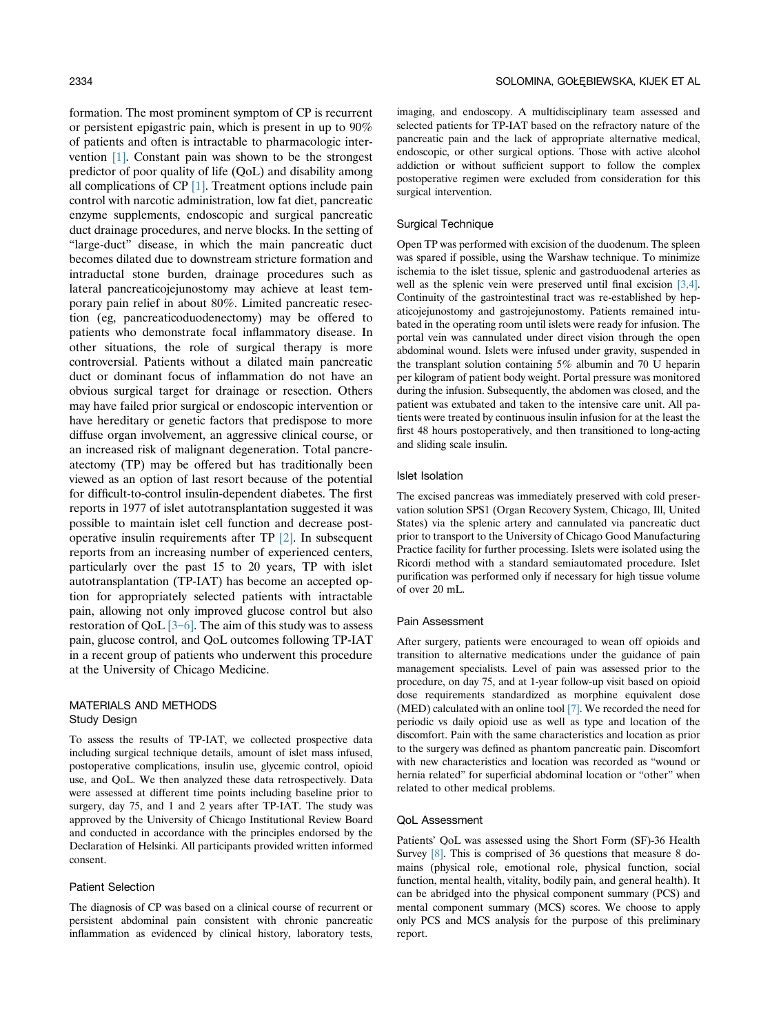formation. The most prominent symptom of CP is recurrent or persistent epigastric pain, which is present in up to 90% of patients and often is intractable to pharmacologic intervention [\[1\]](#page-6-0). Constant pain was shown to be the strongest predictor of poor quality of life (QoL) and disability among all complications of CP [\[1\].](#page-6-0) Treatment options include pain control with narcotic administration, low fat diet, pancreatic enzyme supplements, endoscopic and surgical pancreatic duct drainage procedures, and nerve blocks. In the setting of "large-duct" disease, in which the main pancreatic duct becomes dilated due to downstream stricture formation and intraductal stone burden, drainage procedures such as lateral pancreaticojejunostomy may achieve at least temporary pain relief in about 80%. Limited pancreatic resection (eg, pancreaticoduodenectomy) may be offered to patients who demonstrate focal inflammatory disease. In other situations, the role of surgical therapy is more controversial. Patients without a dilated main pancreatic duct or dominant focus of inflammation do not have an obvious surgical target for drainage or resection. Others may have failed prior surgical or endoscopic intervention or have hereditary or genetic factors that predispose to more diffuse organ involvement, an aggressive clinical course, or an increased risk of malignant degeneration. Total pancreatectomy (TP) may be offered but has traditionally been viewed as an option of last resort because of the potential for difficult-to-control insulin-dependent diabetes. The first reports in 1977 of islet autotransplantation suggested it was possible to maintain islet cell function and decrease postoperative insulin requirements after TP [\[2\]](#page-6-0). In subsequent reports from an increasing number of experienced centers, particularly over the past 15 to 20 years, TP with islet autotransplantation (TP-IAT) has become an accepted option for appropriately selected patients with intractable pain, allowing not only improved glucose control but also restoration of QoL  $[3-6]$  $[3-6]$ . The aim of this study was to assess pain, glucose control, and QoL outcomes following TP-IAT in a recent group of patients who underwent this procedure at the University of Chicago Medicine.

## MATERIALS AND METHODS Study Design

To assess the results of TP-IAT, we collected prospective data including surgical technique details, amount of islet mass infused, postoperative complications, insulin use, glycemic control, opioid use, and QoL. We then analyzed these data retrospectively. Data were assessed at different time points including baseline prior to surgery, day 75, and 1 and 2 years after TP-IAT. The study was approved by the University of Chicago Institutional Review Board and conducted in accordance with the principles endorsed by the Declaration of Helsinki. All participants provided written informed consent.

## Patient Selection

The diagnosis of CP was based on a clinical course of recurrent or persistent abdominal pain consistent with chronic pancreatic inflammation as evidenced by clinical history, laboratory tests, imaging, and endoscopy. A multidisciplinary team assessed and selected patients for TP-IAT based on the refractory nature of the pancreatic pain and the lack of appropriate alternative medical, endoscopic, or other surgical options. Those with active alcohol addiction or without sufficient support to follow the complex postoperative regimen were excluded from consideration for this surgical intervention.

### Surgical Technique

Open TP was performed with excision of the duodenum. The spleen was spared if possible, using the Warshaw technique. To minimize ischemia to the islet tissue, splenic and gastroduodenal arteries as well as the splenic vein were preserved until final excision [\[3,4\]](#page-6-0). Continuity of the gastrointestinal tract was re-established by hepaticojejunostomy and gastrojejunostomy. Patients remained intubated in the operating room until islets were ready for infusion. The portal vein was cannulated under direct vision through the open abdominal wound. Islets were infused under gravity, suspended in the transplant solution containing 5% albumin and 70 U heparin per kilogram of patient body weight. Portal pressure was monitored during the infusion. Subsequently, the abdomen was closed, and the patient was extubated and taken to the intensive care unit. All patients were treated by continuous insulin infusion for at the least the first 48 hours postoperatively, and then transitioned to long-acting and sliding scale insulin.

#### Islet Isolation

The excised pancreas was immediately preserved with cold preservation solution SPS1 (Organ Recovery System, Chicago, Ill, United States) via the splenic artery and cannulated via pancreatic duct prior to transport to the University of Chicago Good Manufacturing Practice facility for further processing. Islets were isolated using the Ricordi method with a standard semiautomated procedure. Islet purification was performed only if necessary for high tissue volume of over 20 mL.

## Pain Assessment

After surgery, patients were encouraged to wean off opioids and transition to alternative medications under the guidance of pain management specialists. Level of pain was assessed prior to the procedure, on day 75, and at 1-year follow-up visit based on opioid dose requirements standardized as morphine equivalent dose (MED) calculated with an online tool [\[7\].](#page-6-0) We recorded the need for periodic vs daily opioid use as well as type and location of the discomfort. Pain with the same characteristics and location as prior to the surgery was defined as phantom pancreatic pain. Discomfort with new characteristics and location was recorded as "wound or hernia related" for superficial abdominal location or "other" when related to other medical problems.

#### QoL Assessment

Patients' QoL was assessed using the Short Form (SF)-36 Health Survey [\[8\].](#page-6-0) This is comprised of 36 questions that measure 8 domains (physical role, emotional role, physical function, social function, mental health, vitality, bodily pain, and general health). It can be abridged into the physical component summary (PCS) and mental component summary (MCS) scores. We choose to apply only PCS and MCS analysis for the purpose of this preliminary report.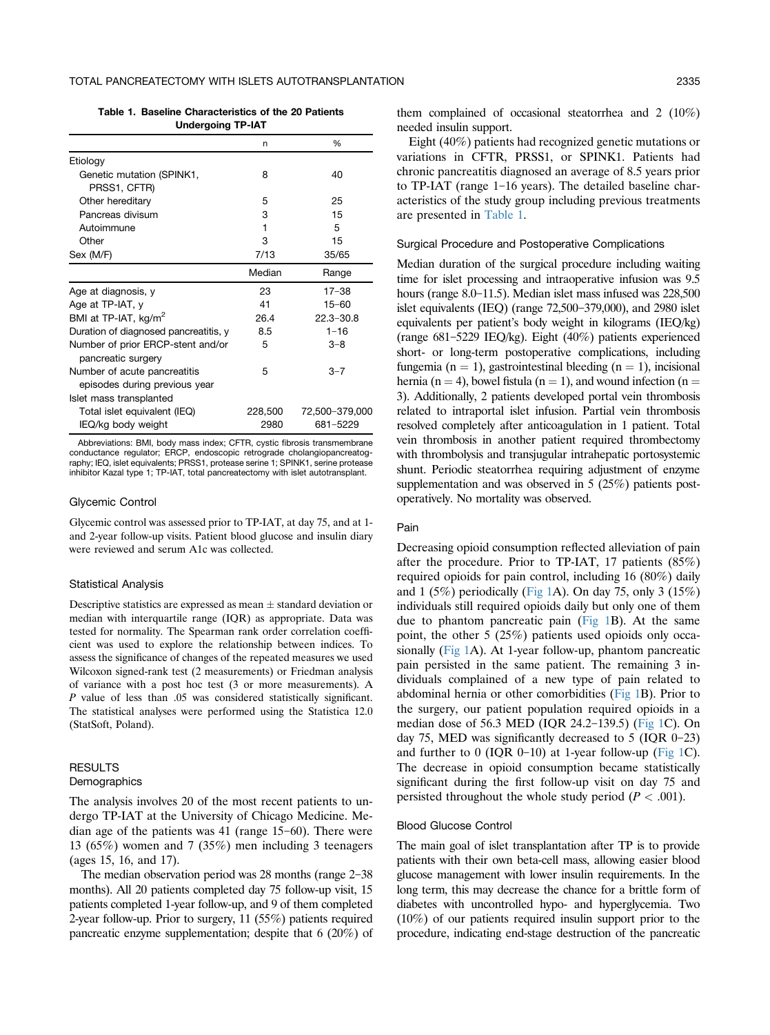Table 1. Baseline Characteristics of the 20 Patients Undergoing TP-IAT

|                                                               | n       | %              |
|---------------------------------------------------------------|---------|----------------|
| Etiology                                                      |         |                |
| Genetic mutation (SPINK1,                                     | 8       | 40             |
| PRSS1, CFTR)                                                  |         |                |
| Other hereditary                                              | 5       | 25             |
| Pancreas divisum                                              | 3       | 15             |
| Autoimmune                                                    | 1       | 5              |
| Other                                                         | 3       | 15             |
| Sex (M/F)                                                     | 7/13    | 35/65          |
|                                                               | Median  | Range          |
| Age at diagnosis, y                                           | 23      | $17 - 38$      |
| Age at TP-IAT, y                                              | 41      | $15 - 60$      |
| BMI at TP-IAT, kg/m <sup>2</sup>                              | 26.4    | $22.3 - 30.8$  |
| Duration of diagnosed pancreatitis, y                         | 8.5     | $1 - 16$       |
| Number of prior ERCP-stent and/or<br>pancreatic surgery       | 5       | $3 - 8$        |
| Number of acute pancreatitis<br>episodes during previous year | 5       | $3 - 7$        |
| Islet mass transplanted                                       |         |                |
| Total islet equivalent (IEQ)                                  | 228,500 | 72,500-379,000 |
| IEQ/kg body weight                                            | 2980    | 681-5229       |

Abbreviations: BMI, body mass index; CFTR, cystic fibrosis transmembrane conductance regulator; ERCP, endoscopic retrograde cholangiopancreatography; IEQ, islet equivalents; PRSS1, protease serine 1; SPINK1, serine protease inhibitor Kazal type 1; TP-IAT, total pancreatectomy with islet autotransplant.

#### Glycemic Control

Glycemic control was assessed prior to TP-IAT, at day 75, and at 1 and 2-year follow-up visits. Patient blood glucose and insulin diary were reviewed and serum A1c was collected.

#### Statistical Analysis

Descriptive statistics are expressed as mean  $\pm$  standard deviation or median with interquartile range (IQR) as appropriate. Data was tested for normality. The Spearman rank order correlation coefficient was used to explore the relationship between indices. To assess the significance of changes of the repeated measures we used Wilcoxon signed-rank test (2 measurements) or Friedman analysis of variance with a post hoc test (3 or more measurements). A P value of less than .05 was considered statistically significant. The statistical analyses were performed using the Statistica 12.0 (StatSoft, Poland).

## **RESULTS Demographics**

The analysis involves 20 of the most recent patients to undergo TP-IAT at the University of Chicago Medicine. Median age of the patients was  $41$  (range  $15-60$ ). There were 13 (65%) women and 7 (35%) men including 3 teenagers (ages 15, 16, and 17).

The median observation period was  $28$  months (range  $2-38$ ) months). All 20 patients completed day 75 follow-up visit, 15 patients completed 1-year follow-up, and 9 of them completed 2-year follow-up. Prior to surgery, 11 (55%) patients required pancreatic enzyme supplementation; despite that 6 (20%) of

Eight (40%) patients had recognized genetic mutations or variations in CFTR, PRSS1, or SPINK1. Patients had chronic pancreatitis diagnosed an average of 8.5 years prior to  $TP$ -IAT (range 1–16 years). The detailed baseline characteristics of the study group including previous treatments are presented in Table 1.

#### Surgical Procedure and Postoperative Complications

Median duration of the surgical procedure including waiting time for islet processing and intraoperative infusion was 9.5 hours (range  $8.0-11.5$ ). Median islet mass infused was  $228,500$ islet equivalents (IEQ) (range  $72,500-379,000$ ), and  $2980$  islet equivalents per patient's body weight in kilograms (IEQ/kg) (range  $681-5229$  IEQ/kg). Eight (40%) patients experienced short- or long-term postoperative complications, including fungemia (n = 1), gastrointestinal bleeding (n = 1), incisional hernia (n = 4), bowel fistula (n = 1), and wound infection (n = 3). Additionally, 2 patients developed portal vein thrombosis related to intraportal islet infusion. Partial vein thrombosis resolved completely after anticoagulation in 1 patient. Total vein thrombosis in another patient required thrombectomy with thrombolysis and transjugular intrahepatic portosystemic shunt. Periodic steatorrhea requiring adjustment of enzyme supplementation and was observed in 5 (25%) patients postoperatively. No mortality was observed.

#### Pain

Decreasing opioid consumption reflected alleviation of pain after the procedure. Prior to TP-IAT, 17 patients (85%) required opioids for pain control, including 16 (80%) daily and 1 (5%) periodically [\(Fig 1A](#page-3-0)). On day 75, only 3 (15%) individuals still required opioids daily but only one of them due to phantom pancreatic pain  $(Fig 1B)$  $(Fig 1B)$  $(Fig 1B)$ . At the same point, the other 5 (25%) patients used opioids only occasionally [\(Fig 1A](#page-3-0)). At 1-year follow-up, phantom pancreatic pain persisted in the same patient. The remaining 3 individuals complained of a new type of pain related to abdominal hernia or other comorbidities ([Fig 1](#page-3-0)B). Prior to the surgery, our patient population required opioids in a median dose of 56.3 MED (IQR 24.2-139.5) [\(Fig 1](#page-3-0)C). On day 75, MED was significantly decreased to 5 (IQR  $0-23$ ) and further to  $0$  (IQR 0-10) at 1-year follow-up [\(Fig 1](#page-3-0)C). The decrease in opioid consumption became statistically significant during the first follow-up visit on day 75 and persisted throughout the whole study period ( $P < .001$ ).

## Blood Glucose Control

The main goal of islet transplantation after TP is to provide patients with their own beta-cell mass, allowing easier blood glucose management with lower insulin requirements. In the long term, this may decrease the chance for a brittle form of diabetes with uncontrolled hypo- and hyperglycemia. Two (10%) of our patients required insulin support prior to the procedure, indicating end-stage destruction of the pancreatic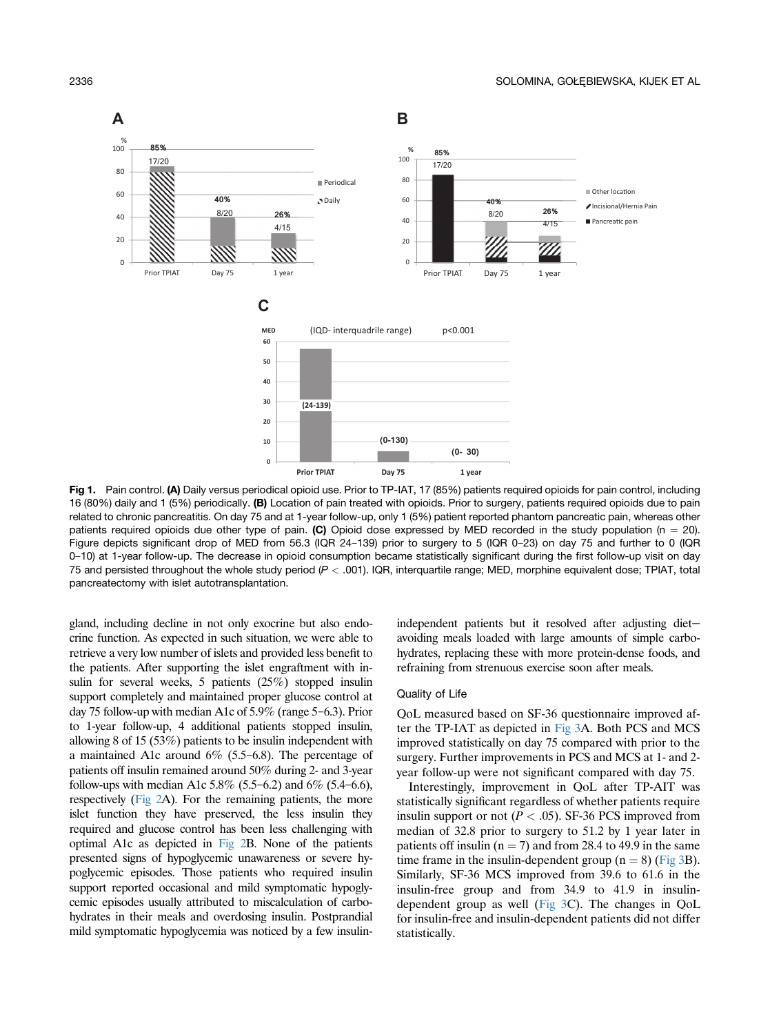<span id="page-3-0"></span>

Fig 1. Pain control. (A) Daily versus periodical opioid use. Prior to TP-IAT, 17 (85%) patients required opioids for pain control, including 16 (80%) daily and 1 (5%) periodically. (B) Location of pain treated with opioids. Prior to surgery, patients required opioids due to pain related to chronic pancreatitis. On day 75 and at 1-year follow-up, only 1 (5%) patient reported phantom pancreatic pain, whereas other patients required opioids due other type of pain. (C) Opioid dose expressed by MED recorded in the study population (n = 20). Figure depicts significant drop of MED from 56.3 (IQR 24-139) prior to surgery to 5 (IQR 0-23) on day 75 and further to 0 (IQR 0-10) at 1-year follow-up. The decrease in opioid consumption became statistically significant during the first follow-up visit on day 75 and persisted throughout the whole study period  $(P < .001)$ . IQR, interquartile range; MED, morphine equivalent dose; TPIAT, total pancreatectomy with islet autotransplantation.

gland, including decline in not only exocrine but also endocrine function. As expected in such situation, we were able to retrieve a very low number of islets and provided less benefit to the patients. After supporting the islet engraftment with insulin for several weeks, 5 patients (25%) stopped insulin support completely and maintained proper glucose control at day 75 follow-up with median A1c of  $5.9\%$  (range  $5-6.3$ ). Prior to 1-year follow-up, 4 additional patients stopped insulin, allowing 8 of 15 (53%) patients to be insulin independent with a maintained A1c around  $6\%$  (5.5–6.8). The percentage of patients off insulin remained around 50% during 2- and 3-year follow-ups with median A1c  $5.8\%$  (5.5–6.2) and  $6\%$  (5.4–6.6), respectively [\(Fig 2A](#page-4-0)). For the remaining patients, the more islet function they have preserved, the less insulin they required and glucose control has been less challenging with optimal A1c as depicted in [Fig 2](#page-4-0)B. None of the patients presented signs of hypoglycemic unawareness or severe hypoglycemic episodes. Those patients who required insulin support reported occasional and mild symptomatic hypoglycemic episodes usually attributed to miscalculation of carbohydrates in their meals and overdosing insulin. Postprandial mild symptomatic hypoglycemia was noticed by a few insulinindependent patients but it resolved after adjusting dietavoiding meals loaded with large amounts of simple carbohydrates, replacing these with more protein-dense foods, and refraining from strenuous exercise soon after meals.

#### Quality of Life

QoL measured based on SF-36 questionnaire improved after the TP-IAT as depicted in [Fig 3A](#page-5-0). Both PCS and MCS improved statistically on day 75 compared with prior to the surgery. Further improvements in PCS and MCS at 1- and 2 year follow-up were not significant compared with day 75.

Interestingly, improvement in QoL after TP-AIT was statistically significant regardless of whether patients require insulin support or not ( $P < .05$ ). SF-36 PCS improved from median of 32.8 prior to surgery to 51.2 by 1 year later in patients off insulin ( $n = 7$ ) and from 28.4 to 49.9 in the same time frame in the insulin-dependent group  $(n = 8)$  [\(Fig 3](#page-5-0)B). Similarly, SF-36 MCS improved from 39.6 to 61.6 in the insulin-free group and from 34.9 to 41.9 in insulindependent group as well [\(Fig 3](#page-5-0)C). The changes in QoL for insulin-free and insulin-dependent patients did not differ statistically.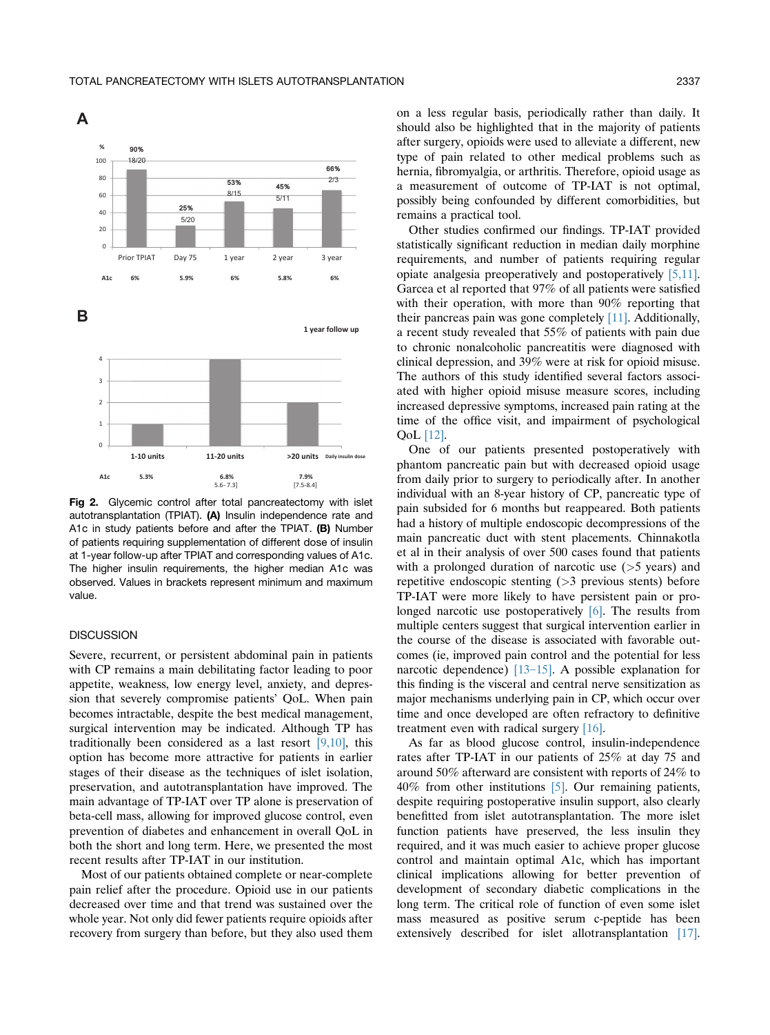<span id="page-4-0"></span>

Fig 2. Glycemic control after total pancreatectomy with islet autotransplantation (TPIAT). (A) Insulin independence rate and A1c in study patients before and after the TPIAT. (B) Number of patients requiring supplementation of different dose of insulin at 1-year follow-up after TPIAT and corresponding values of A1c. The higher insulin requirements, the higher median A1c was observed. Values in brackets represent minimum and maximum value.

## **DISCUSSION**

Severe, recurrent, or persistent abdominal pain in patients with CP remains a main debilitating factor leading to poor appetite, weakness, low energy level, anxiety, and depression that severely compromise patients' QoL. When pain becomes intractable, despite the best medical management, surgical intervention may be indicated. Although TP has traditionally been considered as a last resort [\[9,10\],](#page-6-0) this option has become more attractive for patients in earlier stages of their disease as the techniques of islet isolation, preservation, and autotransplantation have improved. The main advantage of TP-IAT over TP alone is preservation of beta-cell mass, allowing for improved glucose control, even prevention of diabetes and enhancement in overall QoL in both the short and long term. Here, we presented the most recent results after TP-IAT in our institution.

Most of our patients obtained complete or near-complete pain relief after the procedure. Opioid use in our patients decreased over time and that trend was sustained over the whole year. Not only did fewer patients require opioids after recovery from surgery than before, but they also used them

on a less regular basis, periodically rather than daily. It should also be highlighted that in the majority of patients after surgery, opioids were used to alleviate a different, new type of pain related to other medical problems such as hernia, fibromyalgia, or arthritis. Therefore, opioid usage as a measurement of outcome of TP-IAT is not optimal, possibly being confounded by different comorbidities, but remains a practical tool.

Other studies confirmed our findings. TP-IAT provided statistically significant reduction in median daily morphine requirements, and number of patients requiring regular opiate analgesia preoperatively and postoperatively [\[5,11\].](#page-6-0) Garcea et al reported that 97% of all patients were satisfied with their operation, with more than 90% reporting that their pancreas pain was gone completely [\[11\].](#page-6-0) Additionally, a recent study revealed that 55% of patients with pain due to chronic nonalcoholic pancreatitis were diagnosed with clinical depression, and 39% were at risk for opioid misuse. The authors of this study identified several factors associated with higher opioid misuse measure scores, including increased depressive symptoms, increased pain rating at the time of the office visit, and impairment of psychological QoL [\[12\]](#page-6-0).

One of our patients presented postoperatively with phantom pancreatic pain but with decreased opioid usage from daily prior to surgery to periodically after. In another individual with an 8-year history of CP, pancreatic type of pain subsided for 6 months but reappeared. Both patients had a history of multiple endoscopic decompressions of the main pancreatic duct with stent placements. Chinnakotla et al in their analysis of over 500 cases found that patients with a prolonged duration of narcotic use  $($  > 5 years) and repetitive endoscopic stenting (>3 previous stents) before TP-IAT were more likely to have persistent pain or pro-longed narcotic use postoperatively [\[6\].](#page-6-0) The results from multiple centers suggest that surgical intervention earlier in the course of the disease is associated with favorable outcomes (ie, improved pain control and the potential for less narcotic dependence)  $[13-15]$  $[13-15]$ . A possible explanation for this finding is the visceral and central nerve sensitization as major mechanisms underlying pain in CP, which occur over time and once developed are often refractory to definitive treatment even with radical surgery [\[16\].](#page-6-0)

As far as blood glucose control, insulin-independence rates after TP-IAT in our patients of 25% at day 75 and around 50% afterward are consistent with reports of 24% to 40% from other institutions [\[5\].](#page-6-0) Our remaining patients, despite requiring postoperative insulin support, also clearly benefitted from islet autotransplantation. The more islet function patients have preserved, the less insulin they required, and it was much easier to achieve proper glucose control and maintain optimal A1c, which has important clinical implications allowing for better prevention of development of secondary diabetic complications in the long term. The critical role of function of even some islet mass measured as positive serum c-peptide has been extensively described for islet allotransplantation [\[17\].](#page-6-0)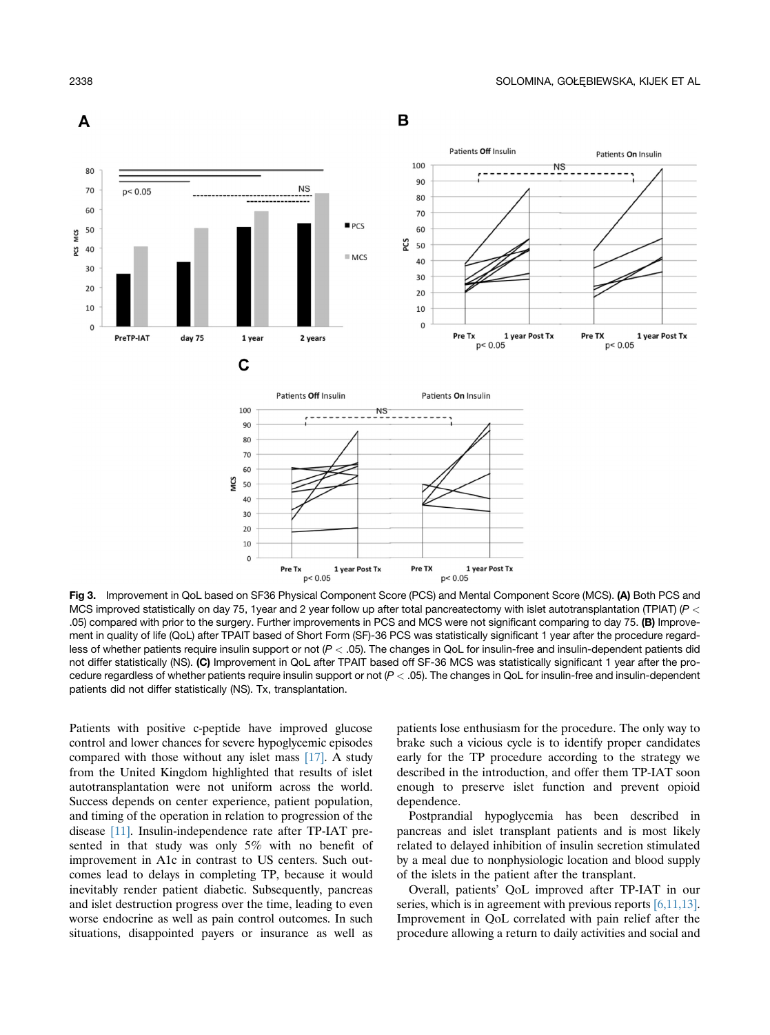<span id="page-5-0"></span>

Fig 3. Improvement in QoL based on SF36 Physical Component Score (PCS) and Mental Component Score (MCS). (A) Both PCS and MCS improved statistically on day 75, 1year and 2 year follow up after total pancreatectomy with islet autotransplantation (TPIAT) ( $P <$ .05) compared with prior to the surgery. Further improvements in PCS and MCS were not significant comparing to day 75. (B) Improvement in quality of life (QoL) after TPAIT based of Short Form (SF)-36 PCS was statistically significant 1 year after the procedure regardless of whether patients require insulin support or not  $(P < .05)$ . The changes in QoL for insulin-free and insulin-dependent patients did not differ statistically (NS). (C) Improvement in QoL after TPAIT based off SF-36 MCS was statistically significant 1 year after the procedure regardless of whether patients require insulin support or not  $(P < .05)$ . The changes in QoL for insulin-free and insulin-dependent patients did not differ statistically (NS). Tx, transplantation.

Patients with positive c-peptide have improved glucose control and lower chances for severe hypoglycemic episodes compared with those without any islet mass [\[17\].](#page-6-0) A study from the United Kingdom highlighted that results of islet autotransplantation were not uniform across the world. Success depends on center experience, patient population, and timing of the operation in relation to progression of the disease [\[11\].](#page-6-0) Insulin-independence rate after TP-IAT presented in that study was only 5% with no benefit of improvement in A1c in contrast to US centers. Such outcomes lead to delays in completing TP, because it would inevitably render patient diabetic. Subsequently, pancreas and islet destruction progress over the time, leading to even worse endocrine as well as pain control outcomes. In such situations, disappointed payers or insurance as well as

patients lose enthusiasm for the procedure. The only way to brake such a vicious cycle is to identify proper candidates early for the TP procedure according to the strategy we described in the introduction, and offer them TP-IAT soon enough to preserve islet function and prevent opioid dependence.

Postprandial hypoglycemia has been described in pancreas and islet transplant patients and is most likely related to delayed inhibition of insulin secretion stimulated by a meal due to nonphysiologic location and blood supply of the islets in the patient after the transplant.

Overall, patients' QoL improved after TP-IAT in our series, which is in agreement with previous reports [\[6,11,13\].](#page-6-0) Improvement in QoL correlated with pain relief after the procedure allowing a return to daily activities and social and